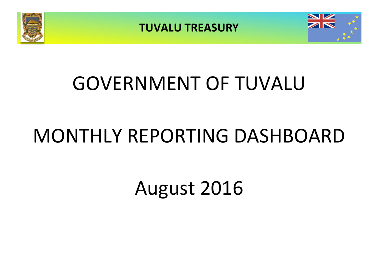





# GOVERNMENT OF TUVALU

# MONTHLY REPORTING DASHBOARD

August 2016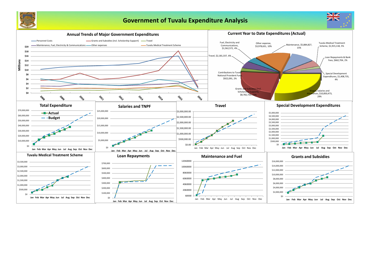



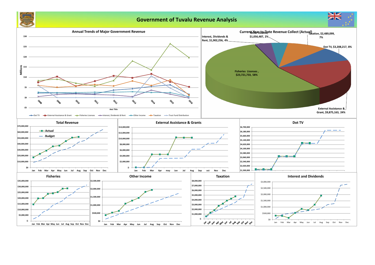

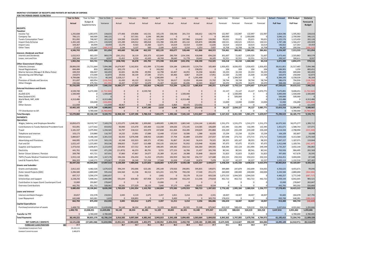#### **MONTHLY STATEMENT OF RECEIPTS AND PAYENTS BY NATURE OF EXPENSE FOR THE PERIOD ENDED 31/08/2016**

|                                                          | <b>Year to Date</b>    | Year to Date             | Year to Date             | January               | February            | March             | April                | May                                                                   | June                | July                 | August             | September           | October             | November                            | December            | <b>Actual + Forecast</b> | 2016 Budget            | Variance               |
|----------------------------------------------------------|------------------------|--------------------------|--------------------------|-----------------------|---------------------|-------------------|----------------------|-----------------------------------------------------------------------|---------------------|----------------------|--------------------|---------------------|---------------------|-------------------------------------|---------------------|--------------------------|------------------------|------------------------|
|                                                          | Actual                 | Budget &                 | Variance                 | Actual                | Actual              | Actual            | Actual               | Actual                                                                | Actual              | Actual               | Actual             | Forecast            | Forecast            | Forecast                            | Forecast            | <b>Full Year</b>         | <b>Full Year</b>       | Forecast &             |
|                                                          |                        | Supplementary            |                          |                       |                     |                   |                      |                                                                       |                     |                      |                    |                     |                     |                                     |                     |                          |                        | <b>Budget</b>          |
| <b>RECEIPTS</b>                                          |                        |                          |                          |                       |                     |                   |                      |                                                                       |                     |                      |                    |                     |                     |                                     |                     |                          |                        |                        |
| <b>Taxation</b>                                          |                        |                          |                          |                       |                     |                   |                      |                                                                       |                     |                      |                    | 132,997             |                     |                                     |                     |                          |                        |                        |
| Income Tax<br>Company Tax                                | 1,292,608<br>706,121   | 1,063,975<br>360,000     | 228,633<br>346,121       | 177,406               | 159,806<br>317,561  | 142,531<br>3,194  | 155,170<br>385,366   | 158,546                                                               | 201,723             | 166,652<br>$\Omega$  | 130,774            | 340,000             | 132,997             | 132,997<br>2,000,000                | 132,997             | 1,824,596<br>3,046,121   | 1,595,963<br>2,700,000 | 228,633<br>346,121     |
| <b>Tuvalu Consumption Taxes</b>                          | 951,092                | 748,967                  | 202,126                  | 124,500               | 124,029             | 111,132           | 111,049              | 112,781                                                               | 107,966             | 124,643              | 134,992            | 93,621              | 93,621              | 93,621                              | 93,621              | 1,325,576                | 1,123,450              | 202,126                |
| Import Duty & Excise                                     | 1,265,100              | 1,044,171                | 220,929                  | 125,289               | 149,012             | 189,818           | 155,780              | 158,109                                                               | 201,132             | 105,874              | 180,086            | 130,521             | 130,521             | 130,521                             | 130,521             | 1,787,186                | 1,566,257              | 220,929                |
| Import Levy                                              | 104,367                | 84,909                   | 19,459                   | 13,270                | 9,563               | 15,360            | 12,671               | 14,619                                                                | 14,414              | 13,444               | 11,026             | 10,614              | 10,614              | 10,614                              | 10,614              | 146,822                  | 127,363                | 19,459                 |
| <b>Other Taxes</b>                                       | 27,453                 | 133,667                  | (106, 213)               | 3,194                 | 3,137               | 500               | 2,100                | 6,623                                                                 | 3,210               | 1,253                | 7,437              | 16,708              | 16,708              | 16,708                              | 16,708              | 94,287                   | 200,500                | (106, 213)             |
| Interest, Dividends and Rent                             | 4,346,743              | 3,435,689                | 911,054                  | 443,660               | 763,108             | 462,535           | 822,135              | 450,677                                                               | 528,446             | 411,866              | 464,315            | 724,461             | 384,461             | 2,384,461                           | 384,461             | 8,224,587                | 7,313,533              | 911,054                |
| Interest and Dividends                                   | 1,632,913              | 663,333                  | 969,579                  | (261, 151)            | 18,119              | 203,373           | 422,849              | 290,709                                                               | (154, 154)          | 418,948              | 694,220            | 301,667             | 51,667              | 1,435,529                           | 51,667              | 3,473,441                | 2,503,862              | 969,579                |
| Lease, rent and hire                                     | 269,344                | 260,407                  | 8,937                    | 52,452                | 8,559               | 42,420            | 49,749               | 28,640                                                                | 51,778              | 19,642               | 16,105             | 32,551              | 32,551              | 32,551                              | 32,551              | 399,547                  | 390,611                | 8,937                  |
|                                                          | 1,902,256              | 923,741                  | 978,516                  | (208, 700)            | 26,678              | 245,793           | 472,598              | 319,349                                                               | (102, 376)          | 438,590              | 710,325            | 334,218             | 84,218              | 1,468,080                           | 84,218              | 3,872,989                | 2,894,473              | 978,516                |
| <b>Other Government Charges</b>                          |                        |                          |                          |                       |                     |                   |                      |                                                                       |                     |                      |                    |                     |                     |                                     |                     |                          |                        |                        |
| <b>Fisheries Licenses</b><br><b>Vessel Registrations</b> | 28,806,030<br>684,484  | 21,711,644<br>833        | 7,094,386<br>683,651     | 14,674,907<br>203,170 | 5,162,816           | 421,999           | 3,722,466<br>243,262 | 524,184                                                               | 1,069,435           | 3,124,754<br>238,052 | 105,469            | 1,926,455<br>104    | 4,026,455<br>104    | 1,926,455<br>104                    | 1,926,455<br>104    | 38,611,851<br>684,901    | 31,517,465<br>1,250    | 7,094,386<br>683,651   |
| Marine Services (Nivaga II & Manu Folau)                 | 449,359                | 266,667                  | 182,693                  | 62,691                | 66,596              | 49,994            | 62,798               | 63,407                                                                | 44,055              | 35,358               | 64,461             | 33,333              | 33,333              | 33,333                              | 33,333              | 582,693                  | 400,000                | 182,693                |
| Stevedoring and Wharfage                                 | 234,873                | 172,000                  | 62,873                   | 29,556                | 30,139              | 27,585            | 37,071               | 64,466                                                                | 8,867               | 19,239               | 17,951             | 21,500              | 21,500              | 21,500                              | 21,500              | 320,873                  | 258,000                | 62,873                 |
| .TV                                                      | 4,799,686              | 4,753,521                | 46,164                   | 1,628,217             |                     |                   | 1,580,000            |                                                                       |                     | 1,591,468            |                    | $\Omega$            | 1,584,507           | $\overline{0}$                      |                     | 6,384,193                | 6,338,028              | 46,164                 |
| Provision of Goods and Services                          | 351,697                | 469,954                  | (118, 256)               | 61,430                | 40,132              | 19,553            | 79,720               | 36,617                                                                | 32,059              | 60,444               | 21,742             | 58,744              | 58,744              | 58,744                              | 58,744              | 586,674                  | 704,930                | (118, 256)             |
| <b>Other Charges</b>                                     | 230,566<br>35,556,695  | 275,761<br>27,650,379    | (45, 195)<br>7,906,316   | 24,207<br>16,684,177  | 17,927<br>5,317,609 | 13,679<br>532,810 | 21,307<br>5,746,625  | 24,620<br>713,294                                                     | 81,696<br>1,236,112 | 16,503<br>5,085,818  | 30,627<br>240,251  | 34,470<br>2,074,607 | 34,470<br>5,759,114 | 34,470<br>2,074,607                 | 34,470<br>2,074,607 | 368,446<br>47,539,631    | 413,641<br>39,633,315  | (45, 195)<br>7,906,316 |
| <b>External Assistance and Grants</b>                    |                        |                          |                          |                       |                     |                   |                      |                                                                       |                     |                      |                    |                     |                     |                                     |                     |                          |                        |                        |
| <b>ROC</b>                                               | 4,539,740              | 6,272,300                | (1,732,560)              |                       |                     | 4,539,740         | $\Omega$             |                                                                       |                     | $\boldsymbol{0}$     |                    | 21,127              | 21,127              | 21,127                              | 3,072,771           | 7,675,891                | 9,408,451              | (1,732,560)            |
| AusAID (CIF)                                             | 1,500,000              |                          | 1,500,000                |                       |                     |                   |                      |                                                                       | 1,500,000           |                      |                    |                     | 1,500,000           | $\Omega$                            |                     | 3,000,000                | 1,500,000              | 1,500,000              |
| New Zealand (CIF)                                        |                        |                          |                          |                       |                     |                   |                      |                                                                       |                     |                      |                    |                     | 500,000             |                                     |                     | 500,000                  | 500,000                |                        |
| World Bank, IMF, ADB<br><b>PDF</b>                       | 4,313,486              | 104,000                  | 4,313,486<br>(104,000)   |                       |                     |                   | $\Omega$<br>$\Omega$ |                                                                       | 4,313,486           |                      |                    | 13,000              | 13,000              | $\Omega$<br>13,000                  | 13,000              | 4,313,486<br>52,000      | 156,000                | 4,313,486<br>(104,000) |
| <b>Other Donors</b>                                      | 111,939                |                          | 111,939                  | 48,967                |                     | 7,440             | 2,618                | 6,864                                                                 | 69,476              | (23, 426)            |                    |                     |                     | $\Omega$                            |                     | 111,939                  |                        | 111,939                |
|                                                          | 10,465,165             | 6,376,300                | 4,088,865                | 48,967                | $\bf{0}$            | 4,547,180         | 2,618                | 6,864                                                                 | 5,882,962           | (23, 426)            |                    | 34,127              | 2,034,127           | 34,127                              | 3,085,771           | 15,653,316               | 11,564,451             | 4,088,865              |
| <b>TTF Distribution to CIF</b>                           |                        | 4,780,000                | (4,780,000)              |                       |                     |                   | $\Omega$             |                                                                       |                     | $\Omega$             |                    |                     | $\Omega$            | $\Omega$                            |                     |                          | 4,780,000              | (4,780,000)            |
| <b>Total Receipts</b>                                    | 52,270,860             | 43,166,109               | 9,104,751                | 16,968,104            | 6,107,396           | 5,788,318         | 7,043,975            | 1,490,184                                                             | 7,545,144           | 5,912,847            | 1,414,891          | 3,167,413           | 8,261,920           | 5,961,275                           | 5,629,057           | 75,290,523               | 66,185,772             | 9,104,751              |
| <b>PAYMENTS</b>                                          |                        |                          |                          |                       |                     |                   |                      |                                                                       |                     |                      |                    |                     |                     |                                     |                     |                          |                        |                        |
| <b>Operations</b>                                        |                        |                          |                          |                       |                     |                   |                      |                                                                       |                     |                      |                    |                     |                     |                                     |                     |                          |                        |                        |
| Wages, Salaries, and Employee Benefits                   | 10,850,473             | 18,019,747               | 7,169,274                | 1,155,075             | 1,348,582           | 1,309,082         | 1,409,005            | 1,288,555                                                             | 1,865,540           | 1,314,144            | 1,160,491          | 1,531,273           | 1,531,273           | 1,531,273                           | 1,531,273           | 16,975,565               | 18,375,277             | 1,399,712              |
| <b>Contributions to Tuvalu National Provident Fund</b>   | 922,091                | 1,577,022                | 654,932                  | 90,840                | 115,470             | 105,469           | 112,338              | 104,636                                                               | 172,145             | 114,585              | 106,609            | 132,395             | 132,395             | 132,395                             | 132,395             | 1,451,671                | 1,588,743              | 137,071                |
| Travel                                                   | 2,181,337              | 3,375,902                | 1,194,565                | 63,797                | 218,522             | 333,979           | 247,838              | 411,404                                                               | 354,285             | 259,629              | 291,884            | 233,249             | 233,249             | 233,249                             | 233,249             | 3,114,334                | 2,798,990              | (315, 344)             |
| Telephone and Internet                                   | 103,173                | 219,880                  | 116,707                  | 14,232                | 13,901              | 17,089            | 12,448               | 17,510                                                                | 10,580              | 1,388                | 16,026             | 15,234              | 15,234              | 15,234                              | 15,234              | 164,109                  | 182,807                | 18,698                 |
| Maintenance                                              | 5,884,827              | 9,186,360                | 3,301,533                | 66,502                | 5,076,948           | 108,932           | 120,865              | 57,704                                                                | 82,889              | 133,950              | 237,037            | 337,048             | 273,715             | 273,715                             | 273,715             | 7,043,020                | 9,313,580              | 2,270,560              |
| Advertising and Provisions                               | 666,995                | 1,170,130                | 503,135                  | 42,248                | 102,923             | 169,371           | 47,901               | 91,867                                                                | 81,942              | 56,419               | 74,325             | 98,355              | 105,167             | 98,355                              | 98,355              | 1,067,227                | 1,187,071              | 119,844                |
| Fuel and Oil                                             | 1,022,147              | 1,225,683                | 203,536                  | 198,832               | 73,637              | 115,488           | 156,135              | 159,510                                                               | 91,932              | 133,948              | 92,666             | 97,475              | 97,475              | 97,475                              | 97,475              | 1,412,048                | 1,169,701              | (242, 347)             |
| Supplies and Equipment                                   | 1,473,416              | 3,696,875                | 2,223,459                | 239,492               | 157,552             | 94,307            | 198,305              | 169,382                                                               | 258,513             | 166,360              | 189,505            | 418,384             | 332,124             | 261,994                             | 249,349             | 2,735,267                | 3,032,149              | 296,882                |
| Electricity                                              | 441,761                | 913,060                  | 471,299                  | (11, 873)             | 46,253              | 80,701            | 9,555                | 177,153                                                               | 16,766              | 21,457               | 101,749            | 80,541              | 80,541              | 80,541                              | 80,541              | 763,926                  | 966,495                | 202,569                |
| Senior Citizen Scheme / Pension                          | 269,790                | 437,721                  | 167,931                  | 37,860                | 47,867              | 24,677            | 25,389               | 25,142                                                                | 24,388              | 55,848               | 28,619             | 31,823              | 31,823              | 31,823                              | 31,823              | 397,083                  | 417,678                | 20,595                 |
| <b>TMTS (Tuvalu Medical Treatment Scheme)</b>            | 1,915,118              | 3,082,294                | 1,167,176                | 196,336               | 256,450             | 51,252            | 270,955              | 192,959                                                               | 562,740             | 256,737              | 127,688            | 250,333             | 250,333             | 250,333                             | 250,333             | 2,916,451                | 3,004,000              | 87,548                 |
| Land & Property Rent                                     | 866,203                | 1,140,171                | 273,967                  | 27,029                | 26,540              | 727,258           | 17,949               | 31,658                                                                | 17,418              | 10,874               | 7,478              | 32,227              | 62,227              | 32,227                              | 32,227              | 1,025,113                | 1,132,516              | 107,402                |
|                                                          | 26,597,332             | 44,044,845               | 17,447,513               | 2,120,369             | 7,484,646           | 3,137,603         | 2,628,683            | 2,727,479                                                             | 3,539,138           | 2,525,337            | 2,434,077          | 3,258,339           | 3,145,558           | 3,038,616                           | 3,025,970           | 39,065,814               | 43,169,007             | 4,103,193              |
| <b>Grants and Subsidies</b>                              |                        |                          |                          |                       |                     |                   |                      |                                                                       |                     |                      |                    |                     |                     |                                     |                     |                          |                        |                        |
| <b>Grants and Subsidies</b>                              | 2,812,102              | 4,482,526                | 1,670,423                | 394,244               | 292,006             | 623,181           | 295,149              | 170,926                                                               | 290,891             | 595,835              | 149,871            | 399,889             | 247,879             | 342,699                             | 554,055             | 4,356,625                | 4,455,671              | 99,046                 |
| Outer Island Projects (SDE)                              | 2,284,584              | 2,880,000                | 595,416                  | 644,560               | 41,536              | 84,512            | 421,241              | 123,794                                                               | 700,230             | 17,540               | 251,171            | 240,000             | 240,000             | 240,000                             | 240,000             | 3,244,584                | 2,880,000              | (364, 584)             |
| Other SDEs                                               | 697,717                | 3,590,374                | 2,892,657                | $\Omega$              |                     |                   | (100)                |                                                                       | 59,179              | 35,110               | 603,528            | 1,673,533           | 1,044,503           | 1,044,503                           |                     | 4,460,257                | 3,772,540              | (687, 717)             |
| Scholarships and Support                                 | 3,228,256              | 5,908,342                | 2,680,086                | 591,644               | 630,482             | 437,958           | 521,874              | 243,690                                                               | 416,243             | 111,546              | 274,818            | 462,722             | 462,722             | 462,722                             | 442,722             | 5,059,144                | 6,042,665              | 983,521                |
| Contribution to Japan Grant Counterpart Fund             | 15,000                 | 293,847                  | 278,847                  | $\Omega$              |                     |                   | 15,000               |                                                                       |                     | $\mathbf 0$          |                    |                     | <sup>n</sup>        | $\Omega$                            |                     | 15,000                   | 278,847                | 263,847                |
| <b>Overseas Contributions</b>                            | 442,791                | 951,752                  | 508,961                  | 69,581                | 277,029             | 18,133            | 7,640                | 37,173                                                                | 4,009               | 20,692               | 8,534              |                     |                     |                                     |                     | 442,791                  | 993,592                | 550,800                |
|                                                          | 9,480,450              | 18,106,841               | 8,626,390                | 1,700,029             | 1,241,054           | 1,163,783         | 1,260,804            | 575,583                                                               | 1,470,553           | 780,723              | 1,287,922          | 2,776,145           | 1,995,104           | 2,089,924                           | 1,236,777           | 17,578,401               | 18,423,315             | 844,913                |
| <b>Loans and Interest</b>                                |                        |                          |                          |                       |                     |                   |                      |                                                                       |                     |                      |                    |                     |                     |                                     |                     |                          |                        |                        |
| <b>Interest and Bank Charges</b>                         | 20,657                 | 231,578                  | 210,921                  | 2,045                 | 4,119               | 2,675             | 2,207                | 1,811                                                                 | 3,214               | 2,256                | 2,331              | 18,007              | 18,007              | 18,007                              | 18,007              | 92,683                   | 260,478                | 167,795                |
| Loan Repayment                                           | 642,048                | 643,681                  | 1,633                    |                       | 328,893             |                   | $\Omega$             | 9,400                                                                 |                     | $\Omega$             | 303,755            | 178,653             |                     | $\Omega$                            |                     | 820,700                  | 640,281                | (180, 419)             |
| <b>Capital Expenditures</b>                              | 662,704                | 875,259                  | 212,555                  | 2,045                 | 333,012             | 2,675             | 2,207                | 11,211                                                                | 3,214               | 2,256                | 306,086            | 196,659             | 18,007              | 18,007                              | 18,007              | 913,383                  | 900,759                | (12, 624)              |
|                                                          |                        |                          |                          |                       |                     |                   |                      |                                                                       |                     |                      |                    |                     |                     |                                     |                     |                          |                        |                        |
| Purchase/construction of assets                          | 1,408,735<br>1,408,735 | 13,048,431<br>13,048,431 | 11,639,696<br>11,639,696 | 94,140<br>94,140      | 38,354<br>38,354    | 81,281<br>81,281  | 51,329<br>51,329     | 30,835<br>30,835                                                      | 81,501<br>81,501    | 55,348<br>55,348     | 975,947<br>975,947 | 612,219<br>612,219  | 588,424<br>588,424  | 524,219<br>524,219                  | 504,218<br>504,218  | 3,637,816<br>3,637,816   | 4,931,662<br>4,931,662 | 1,293,846<br>1,293,846 |
|                                                          |                        |                          |                          |                       |                     |                   |                      |                                                                       |                     |                      |                    |                     |                     |                                     |                     |                          |                        |                        |
| <b>Transfer to TTF</b>                                   |                        | 4,780,000                | 4,780,000                |                       |                     |                   |                      |                                                                       |                     |                      |                    |                     |                     | $\Omega$                            |                     |                          | 4,780,000              | 4,780,000              |
| <b>Total Payments</b>                                    | 38,149,222             | 80,855,376               | 42,706,154               | 3,916,583             |                     |                   |                      | 9,097,064   4,385,342   3,943,023   3,345,108   5,094,405   3,363,664 |                     |                      | 5,004,032          |                     |                     | 6,843,362    5,747,093    5,670,766 | 4,784,972           | 61,195,415               | 72,204,743             | 11,009,328             |
| NET SURPLUS / (DEFICIT)                                  | 14,121,638             | (37,689,268)             | 51,810,906               | 13,051,521            | (2,989,669)         | 1,402,975         | 3,100,952            | (1,854,924)                                                           | 2,450,739           | 2,549,183            | (3,589,140)        | (3,675,949)         | 2,514,827           | 290,509                             | 844,084             | 14,095,109               | (6,018,971)            | 20,114,079             |
| <u>\$M</u><br><b>FORECAST CASH POSITION</b>              | 37.7                   |                          |                          | 36.7                  | 33.7                | 35.1              | 38.2                 | 36.3                                                                  | 38.8                | 41.3                 | 37.7               | 34.1                | 36.6                | 36.9                                | 37.7                |                          |                        |                        |
| <b>Consolidated Investment Fund</b>                      | 35,240,122             |                          |                          |                       |                     |                   |                      |                                                                       |                     |                      |                    |                     |                     |                                     |                     |                          |                        |                        |

General Current Account 2,489,873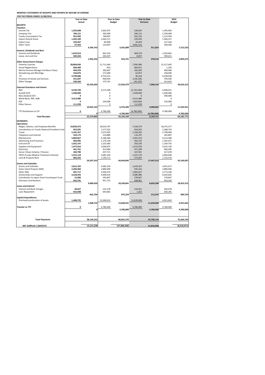|                         | 01         | 4,780,000    | 4,780,000  | 4,780,000   |
|-------------------------|------------|--------------|------------|-------------|
|                         |            |              |            |             |
|                         |            |              |            |             |
| <b>Total Payments</b>   | 38,149,222 | 80,855,376   | 42,706,154 | 72,204,743  |
|                         |            |              |            |             |
| NET SURPLUS / (DEFECIT) | 14,121,638 | (37,689,268) | 51,810,906 | (6,018,971) |

|                                                 | <b>Year to Date</b> |            |            | <b>Year to Date</b> |             | <b>Year to Date</b> |               | 2016       |  |
|-------------------------------------------------|---------------------|------------|------------|---------------------|-------------|---------------------|---------------|------------|--|
|                                                 | <b>Actual</b>       |            |            | <b>Budget</b>       |             | Variance            | <b>Budget</b> |            |  |
| <b>RECEIPTS</b>                                 |                     |            |            |                     |             |                     |               |            |  |
| <b>Taxation</b>                                 |                     |            |            |                     |             |                     |               |            |  |
| Income Tax                                      | 1,292,608           |            | 1,063,975  |                     | 228,633     |                     | 1,595,963     |            |  |
| Company Tax                                     | 706,121             |            | 360,000    |                     | 346,121     |                     | 2,700,000     |            |  |
| <b>Tuvalu Consumption Tax</b>                   | 951,092             |            | 748,967    |                     | 202,126     |                     | 1,123,450     |            |  |
| Import Duty & Excise                            | 1,265,100           |            | 1,044,171  |                     | 220,929     |                     | 1,566,257     |            |  |
| Import Levy                                     | 104,367             |            | 84,909     |                     | 19,459      |                     | 127,363       |            |  |
| <b>Other Taxes</b>                              |                     |            |            |                     |             |                     |               |            |  |
|                                                 | 27,453              |            | 133,667    |                     | (106, 213)  | 911,054             | 200,500       | 7,313,533  |  |
|                                                 |                     | 4,346,743  |            | 3,435,689           |             |                     |               |            |  |
| Interest, Dividends and Rent                    |                     |            |            |                     |             |                     |               |            |  |
| <b>Interest and Dividends</b>                   | 1,632,913           |            | 663,333    |                     | 969,579     |                     | 2,503,862     |            |  |
| Lease, rent and hire                            | 269,344             |            | 260,407    |                     | 8,937       |                     | 390,611       |            |  |
|                                                 |                     | 1,902,256  |            | 923,741             |             | 978,516             |               | 2,894,473  |  |
| <b>Other Government Charges</b>                 |                     |            |            |                     |             |                     |               |            |  |
| <b>Fisheries Licenses</b>                       | 28,806,030          |            | 21,711,644 |                     | 7,094,386   |                     | 31,517,465    |            |  |
| <b>Vessel Registrations</b>                     | 684,484             |            | 833        |                     | 683,651     |                     | 1,250         |            |  |
| Marine Services (Nivaga II & Manu Folau)        | 449,359             |            | 266,667    |                     | 182,693     |                     | 400,000       |            |  |
| Stevedoring and Wharfage                        | 234,873             |            | 172,000    |                     | 62,873      |                     | 258,000       |            |  |
| TV                                              | 4,799,686           |            | 4,753,521  |                     | 46,164      |                     | 6,338,028     |            |  |
| Provision of Goods and Services                 | 351,697             |            | 469,954    |                     | (118, 256)  |                     | 704,930       |            |  |
| <b>Other Charges</b>                            | 230,566             |            | 275,761    |                     | (45, 195)   |                     | 413,641       |            |  |
|                                                 |                     | 35,556,695 |            | 27,650,379          |             | 7,906,316           |               | 39,633,315 |  |
| <b>External Assistance and Grants</b>           |                     |            |            |                     |             |                     |               |            |  |
| <b>ROC</b>                                      | 4,539,740           |            | 6,272,300  |                     | (1,732,560) |                     | 9,408,451     |            |  |
| AusAID (CIF)                                    | 1,500,000           |            | 0          |                     | 1,500,000   |                     | 1,500,000     |            |  |
|                                                 | 0                   |            | n          |                     | $\Omega$    |                     |               |            |  |
| New Zealand (CIF)                               |                     |            |            |                     |             |                     | 500,000<br>O  |            |  |
| World Bank, IMF, ADB                            | 4,313,486           |            | 0          |                     | 4,313,486   |                     |               |            |  |
| <b>PDF</b>                                      | 0                   |            | 104,000    |                     | (104,000)   |                     | 156,000       |            |  |
| <b>Other Donors</b>                             | 111,939             |            | 0          |                     | 111,939     |                     | 0             |            |  |
|                                                 |                     | 10,465,165 |            | 6,376,300           |             | 4,088,865           |               | 11,564,451 |  |
| TTF Distribution to CIF                         | 0                   |            | 4,780,000  |                     | (4,780,000) |                     | 4,780,000     |            |  |
|                                                 |                     | 0          |            | 4,780,000           |             | (4,780,000)         |               | 4,780,000  |  |
| <b>Total Receipts</b>                           |                     | 52,270,860 |            | 43,166,109          |             | 9,104,751           |               | 66,185,772 |  |
|                                                 |                     |            |            |                     |             |                     |               |            |  |
| <b>PAYMENTS</b>                                 |                     |            |            |                     |             |                     |               |            |  |
| <b>Operations</b>                               |                     |            |            |                     |             |                     |               |            |  |
| Wages, Salaries, and Employee Benefits          | 10,850,473          |            | 18,019,747 |                     | 7,169,274   |                     | 18,375,277    |            |  |
| Contributions to Tuvalu National Provident Fund | 922,091             |            | 1,577,022  |                     | 654,932     |                     | 1,588,743     |            |  |
| Travel                                          | 2,181,337           |            | 3,375,902  |                     | 1,194,565   |                     | 2,798,990     |            |  |
| Telephone and Internet                          | 103,173             |            | 219,880    |                     | 116,707     |                     | 182,807       |            |  |
| Maintenance                                     | 5,884,827           |            | 9,186,360  |                     | 3,301,533   |                     | 9,313,580     |            |  |
| <b>Advertising and Provisions</b>               | 666,995             |            | 1,170,130  |                     | 503,135     |                     | 1,187,071     |            |  |
| Fuel and Oil                                    | 1,022,147           |            | 1,225,683  |                     | 203,536     |                     | 1,169,701     |            |  |
| Supplies and Equipment                          | 1,473,416           |            | 3,696,875  |                     | 2,223,459   |                     | 3,032,149     |            |  |
| Electricity                                     | 441,761             |            | 913,060    |                     | 471,299     |                     | 966,495       |            |  |
| Senior Citizen Scheme / Pension                 | 269,790             |            | 437,721    |                     | 167,931     |                     | 417,678       |            |  |
| <b>TMTS (Tuvalu Medical Treatment Scheme)</b>   | 1,915,118           |            | 3,082,294  |                     | 1,167,176   |                     | 3,004,000     |            |  |
| Land & Property Rent                            | 866,203             |            | 1,140,171  |                     | 273,967     |                     | 1,132,516     |            |  |
|                                                 |                     | 26,597,332 |            | 44,044,845          |             | 17,447,513          |               | 43,169,007 |  |
| <b>Grants and Subsidies</b>                     |                     |            |            |                     |             |                     |               |            |  |
| <b>Grants and Subsidies</b>                     | 2,812,102           |            | 4,482,526  |                     | 1,670,423   |                     | 4,455,671     |            |  |
|                                                 |                     |            |            |                     |             |                     |               |            |  |
| Outer Island Projects (SDE)                     | 2,284,584           |            | 2,880,000  |                     | 595,416     |                     | 2,880,000     |            |  |
| Other SDEs                                      | 697,717             |            | 3,590,374  |                     | 2,892,657   |                     | 3,772,540     |            |  |
| Scholarships and Support                        | 3,228,256           |            | 5,908,342  |                     | 2,680,086   |                     | 6,042,665     |            |  |
| Contribution to Japan Grant Counterpart Fund    | 15,000              |            | 293,847    |                     | 278,847     |                     | 278,847       |            |  |
| <b>Overseas Contributions</b>                   |                     |            | 951,752    |                     | 508,961     |                     | 993,592       |            |  |
|                                                 | 442,791             |            |            |                     |             |                     |               | 18,423,315 |  |
|                                                 |                     | 9,480,450  |            | 18,106,841          |             | 8,626,390           |               |            |  |
| <b>Loans and Interest</b>                       |                     |            |            |                     |             |                     |               |            |  |
| Interest and Bank Charges                       | 20,657              |            | 231,578    |                     | 210,921     |                     | 260,478       |            |  |
| Loan Repayment                                  | 642,048             |            | 643,681    |                     | 1,633       |                     | 640,281       |            |  |
|                                                 |                     | 662,704    |            | 875,259             |             | 212,555             |               | 900,759    |  |
| <b>Capital Expenditures</b>                     |                     |            |            |                     |             |                     |               |            |  |
| Purchase/construction of assets                 | 1,408,735           |            | 13,048,431 |                     | 11,639,696  |                     | 4,931,662     |            |  |
|                                                 |                     | 1,408,735  |            | 13,048,431          |             | 11,639,696          |               | 4,931,662  |  |
| <b>Transfer to TTF</b>                          | 0                   |            | 4,780,000  |                     | 4,780,000   |                     | 4,780,000     |            |  |

## **MONTHLY STATEMENT OF RECEIPTS AND PAYENTS BY NATURE OF EXPENSE**

## **FOR THE PERIOD ENDED 31/08/2016**